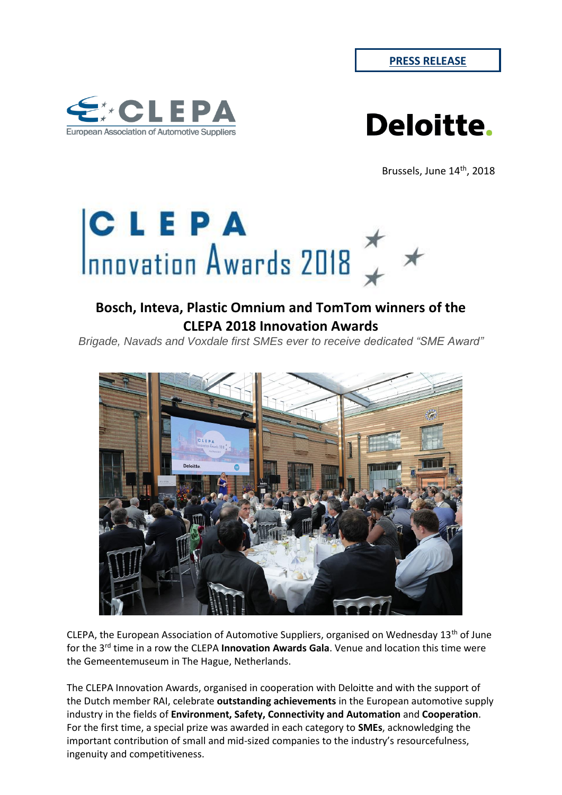



Brussels, June 14<sup>th</sup>, 2018



# **Bosch, Inteva, Plastic Omnium and TomTom winners of the CLEPA 2018 Innovation Awards**

*Brigade, Navads and Voxdale first SMEs ever to receive dedicated "SME Award"*



CLEPA, the European Association of Automotive Suppliers, organised on Wednesday  $13<sup>th</sup>$  of June for the 3rd time in a row the CLEPA **Innovation Awards Gala**. Venue and location this time were the Gemeentemuseum in The Hague, Netherlands.

The CLEPA Innovation Awards, organised in cooperation with Deloitte and with the support of the Dutch member RAI, celebrate **outstanding achievements** in the European automotive supply industry in the fields of **Environment, Safety, Connectivity and Automation** and **Cooperation**. For the first time, a special prize was awarded in each category to **SMEs**, acknowledging the important contribution of small and mid-sized companies to the industry's resourcefulness, ingenuity and competitiveness.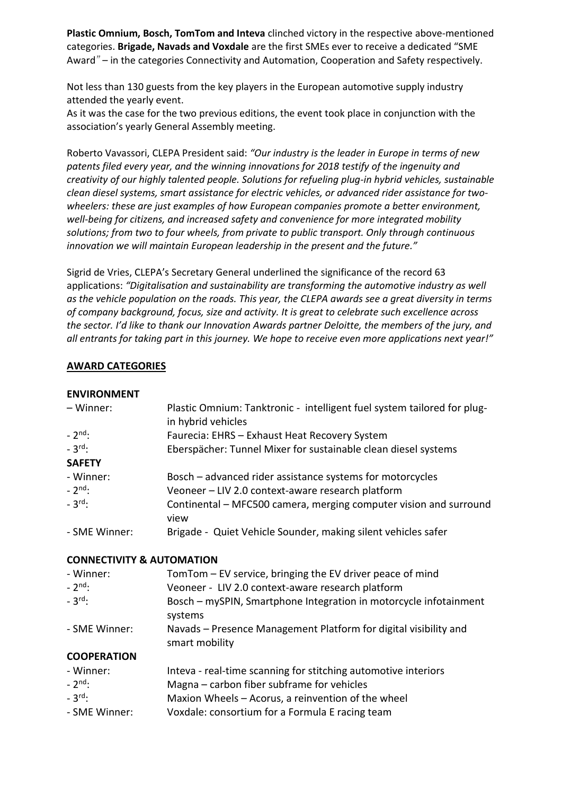**Plastic Omnium, Bosch, TomTom and Inteva** clinched victory in the respective above-mentioned categories. **Brigade, Navads and Voxdale** are the first SMEs ever to receive a dedicated "SME Award*"* – in the categories Connectivity and Automation, Cooperation and Safety respectively.

Not less than 130 guests from the key players in the European automotive supply industry attended the yearly event.

As it was the case for the two previous editions, the event took place in conjunction with the association's yearly General Assembly meeting.

Roberto Vavassori, CLEPA President said: *"Our industry is the leader in Europe in terms of new patents filed every year, and the winning innovations for 2018 testify of the ingenuity and creativity of our highly talented people. Solutions for refueling plug-in hybrid vehicles, sustainable clean diesel systems, smart assistance for electric vehicles, or advanced rider assistance for twowheelers: these are just examples of how European companies promote a better environment, well-being for citizens, and increased safety and convenience for more integrated mobility solutions; from two to four wheels, from private to public transport. Only through continuous innovation we will maintain European leadership in the present and the future."*

Sigrid de Vries, CLEPA's Secretary General underlined the significance of the record 63 applications: *"Digitalisation and sustainability are transforming the automotive industry as well as the vehicle population on the roads. This year, the CLEPA awards see a great diversity in terms of company background, focus, size and activity. It is great to celebrate such excellence across the sector. I'd like to thank our Innovation Awards partner Deloitte, the members of the jury, and all entrants for taking part in this journey. We hope to receive even more applications next year!"*

#### **AWARD CATEGORIES**

#### **ENVIRONMENT**

| - Winner:                            | Plastic Omnium: Tanktronic - intelligent fuel system tailored for plug-<br>in hybrid vehicles |
|--------------------------------------|-----------------------------------------------------------------------------------------------|
| $-2^{nd}$ :                          | Faurecia: EHRS - Exhaust Heat Recovery System                                                 |
| $-3rd$ :                             | Eberspächer: Tunnel Mixer for sustainable clean diesel systems                                |
| <b>SAFETY</b>                        |                                                                                               |
| - Winner:                            | Bosch - advanced rider assistance systems for motorcycles                                     |
| $-2^{nd}$ :                          | Veoneer - LIV 2.0 context-aware research platform                                             |
| $-3^{\text{rd}}$ :                   | Continental – MFC500 camera, merging computer vision and surround<br>view                     |
| - SME Winner:                        | Brigade - Quiet Vehicle Sounder, making silent vehicles safer                                 |
| <b>CONNECTIVITY &amp; AUTOMATION</b> |                                                                                               |
| - Winner:                            | TomTom – EV service, bringing the EV driver peace of mind                                     |
| $-2^{nd}$ :                          | Veoneer - LIV 2.0 context-aware research platform                                             |
| $-3$ <sup>rd</sup> :                 | Bosch - mySPIN, Smartphone Integration in motorcycle infotainment<br>systems                  |
| - SME Winner:                        | Navads - Presence Management Platform for digital visibility and<br>smart mobility            |
| <b>COOPERATION</b>                   |                                                                                               |
| - Winner:                            | Inteva - real-time scanning for stitching automotive interiors                                |
| $-2^{\text{nd}}$ :                   | Magna - carbon fiber subframe for vehicles                                                    |
| $-3^{\text{rd}}$ :                   | Maxion Wheels - Acorus, a reinvention of the wheel                                            |
| - SME Winner:                        | Voxdale: consortium for a Formula E racing team                                               |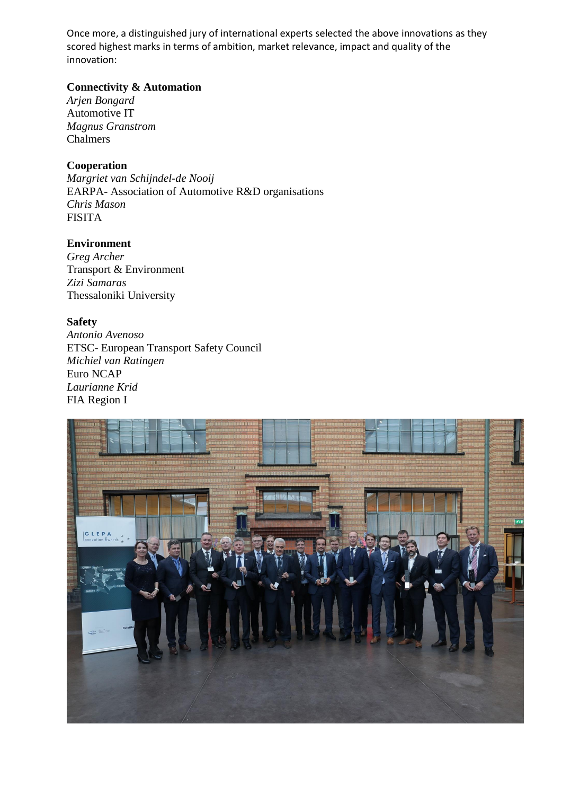Once more, a distinguished jury of international experts selected the above innovations as they scored highest marks in terms of ambition, market relevance, impact and quality of the innovation:

## **Connectivity & Automation**

*Arjen Bongard* Automotive IT *Magnus Granstrom* Chalmers

## **Cooperation**

*Margriet van Schijndel-de Nooij*  EARPA- Association of Automotive R&D organisations *Chris Mason* FISITA

## **Environment**

*Greg Archer* Transport & Environment *Zizi Samaras* Thessaloniki University

## **Safety**

*Antonio Avenoso* ETSC- European Transport Safety Council *Michiel van Ratingen* Euro NCAP *Laurianne Krid* FIA Region I